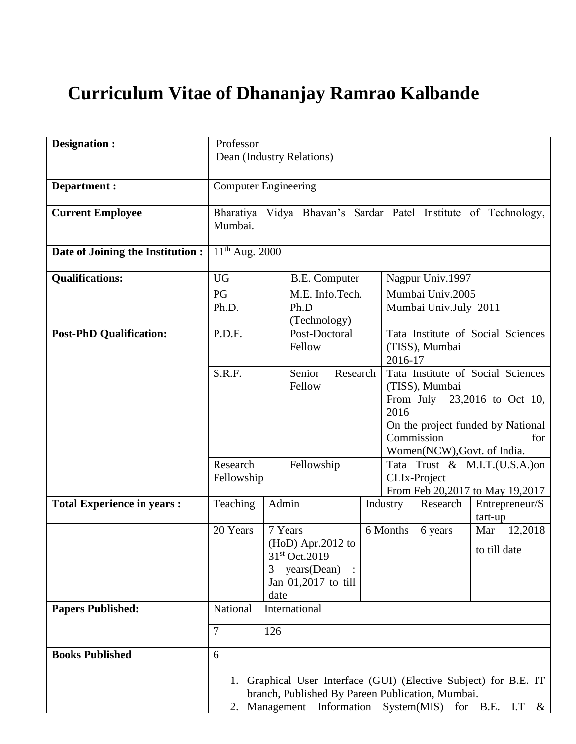# **Curriculum Vitae of Dhananjay Ramrao Kalbande**

| Designation :                     | Professor<br>Dean (Industry Relations)                                    |               |                                                                                                        |  |                       |                                                                                                                                                                |                                                                              |  |
|-----------------------------------|---------------------------------------------------------------------------|---------------|--------------------------------------------------------------------------------------------------------|--|-----------------------|----------------------------------------------------------------------------------------------------------------------------------------------------------------|------------------------------------------------------------------------------|--|
| Department :                      | <b>Computer Engineering</b>                                               |               |                                                                                                        |  |                       |                                                                                                                                                                |                                                                              |  |
| <b>Current Employee</b>           | Bharatiya Vidya Bhavan's Sardar Patel Institute of Technology,<br>Mumbai. |               |                                                                                                        |  |                       |                                                                                                                                                                |                                                                              |  |
| Date of Joining the Institution : | $11^{th}$ Aug. 2000                                                       |               |                                                                                                        |  |                       |                                                                                                                                                                |                                                                              |  |
| <b>Qualifications:</b>            | <b>UG</b>                                                                 |               | <b>B.E.</b> Computer                                                                                   |  |                       | Nagpur Univ.1997                                                                                                                                               |                                                                              |  |
|                                   | PG                                                                        |               | M.E. Info.Tech.                                                                                        |  | Mumbai Univ.2005      |                                                                                                                                                                |                                                                              |  |
|                                   | Ph.D.                                                                     |               | Ph.D<br>(Technology)                                                                                   |  | Mumbai Univ.July 2011 |                                                                                                                                                                |                                                                              |  |
| <b>Post-PhD Qualification:</b>    | P.D.F.                                                                    |               | Post-Doctoral<br>Fellow                                                                                |  | 2016-17               | Tata Institute of Social Sciences<br>(TISS), Mumbai                                                                                                            |                                                                              |  |
|                                   | S.R.F.                                                                    |               | Senior<br>Research<br>Fellow                                                                           |  | 2016<br>Commission    | Tata Institute of Social Sciences<br>(TISS), Mumbai<br>From July 23,2016 to Oct 10,<br>On the project funded by National<br>for<br>Women(NCW), Govt. of India. |                                                                              |  |
|                                   | Research<br>Fellowship                                                    |               | Fellowship                                                                                             |  |                       | Tata Trust & M.I.T.(U.S.A.)on<br>CLIx-Project<br>From Feb 20,2017 to May 19,2017                                                                               |                                                                              |  |
| <b>Total Experience in years:</b> | Teaching                                                                  | Admin         |                                                                                                        |  | Industry              | Research                                                                                                                                                       | Entrepreneur/S<br>tart-up                                                    |  |
|                                   | 20 Years                                                                  | 3<br>date     | 7 Years<br>$(HoD)$ Apr.2012 to<br>31st Oct.2019<br>years (Dean)<br>Jan 01,2017 to till                 |  | 6 Months              | 6 years                                                                                                                                                        | 12,2018<br>Mar<br>to till date                                               |  |
| <b>Papers Published:</b>          | National                                                                  | International |                                                                                                        |  |                       |                                                                                                                                                                |                                                                              |  |
|                                   | 7                                                                         | 126           |                                                                                                        |  |                       |                                                                                                                                                                |                                                                              |  |
| <b>Books Published</b>            | 6                                                                         |               | branch, Published By Pareen Publication, Mumbai.<br>2. Management Information System(MIS) for B.E. I.T |  |                       |                                                                                                                                                                | 1. Graphical User Interface (GUI) (Elective Subject) for B.E. IT<br>$\alpha$ |  |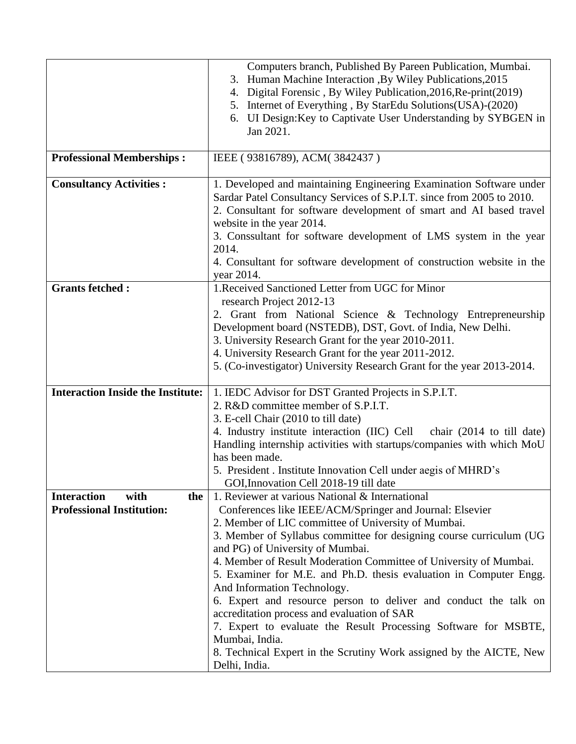|                                                                       | Computers branch, Published By Pareen Publication, Mumbai.<br>Human Machine Interaction , By Wiley Publications, 2015<br>3.<br>Digital Forensic, By Wiley Publication, 2016, Re-print(2019)<br>4.<br>5. Internet of Everything, By StarEdu Solutions(USA)-(2020)<br>6. UI Design: Key to Captivate User Understanding by SYBGEN in<br>Jan 2021.                                                                                                                                                                                                                                                                                                                                                                                                         |
|-----------------------------------------------------------------------|---------------------------------------------------------------------------------------------------------------------------------------------------------------------------------------------------------------------------------------------------------------------------------------------------------------------------------------------------------------------------------------------------------------------------------------------------------------------------------------------------------------------------------------------------------------------------------------------------------------------------------------------------------------------------------------------------------------------------------------------------------|
| <b>Professional Memberships:</b>                                      | IEEE (93816789), ACM(3842437)                                                                                                                                                                                                                                                                                                                                                                                                                                                                                                                                                                                                                                                                                                                           |
| <b>Consultancy Activities:</b>                                        | 1. Developed and maintaining Engineering Examination Software under<br>Sardar Patel Consultancy Services of S.P.I.T. since from 2005 to 2010.<br>2. Consultant for software development of smart and AI based travel<br>website in the year 2014.<br>3. Conssultant for software development of LMS system in the year<br>2014.<br>4. Consultant for software development of construction website in the<br>year 2014.                                                                                                                                                                                                                                                                                                                                  |
| <b>Grants fetched:</b>                                                | 1. Received Sanctioned Letter from UGC for Minor<br>research Project 2012-13<br>2. Grant from National Science & Technology Entrepreneurship<br>Development board (NSTEDB), DST, Govt. of India, New Delhi.<br>3. University Research Grant for the year 2010-2011.<br>4. University Research Grant for the year 2011-2012.<br>5. (Co-investigator) University Research Grant for the year 2013-2014.                                                                                                                                                                                                                                                                                                                                                   |
| <b>Interaction Inside the Institute:</b>                              | 1. IEDC Advisor for DST Granted Projects in S.P.I.T.<br>2. R&D committee member of S.P.I.T.<br>3. E-cell Chair (2010 to till date)<br>4. Industry institute interaction (IIC) Cell<br>chair $(2014$ to till date)<br>Handling internship activities with startups/companies with which MoU<br>has been made.<br>5. President . Institute Innovation Cell under aegis of MHRD's<br>GOI, Innovation Cell 2018-19 till date                                                                                                                                                                                                                                                                                                                                |
| <b>Interaction</b><br>with<br>the<br><b>Professional Institution:</b> | 1. Reviewer at various National & International<br>Conferences like IEEE/ACM/Springer and Journal: Elsevier<br>2. Member of LIC committee of University of Mumbai.<br>3. Member of Syllabus committee for designing course curriculum (UG<br>and PG) of University of Mumbai.<br>4. Member of Result Moderation Committee of University of Mumbai.<br>5. Examiner for M.E. and Ph.D. thesis evaluation in Computer Engg.<br>And Information Technology.<br>6. Expert and resource person to deliver and conduct the talk on<br>accreditation process and evaluation of SAR<br>7. Expert to evaluate the Result Processing Software for MSBTE,<br>Mumbai, India.<br>8. Technical Expert in the Scrutiny Work assigned by the AICTE, New<br>Delhi, India. |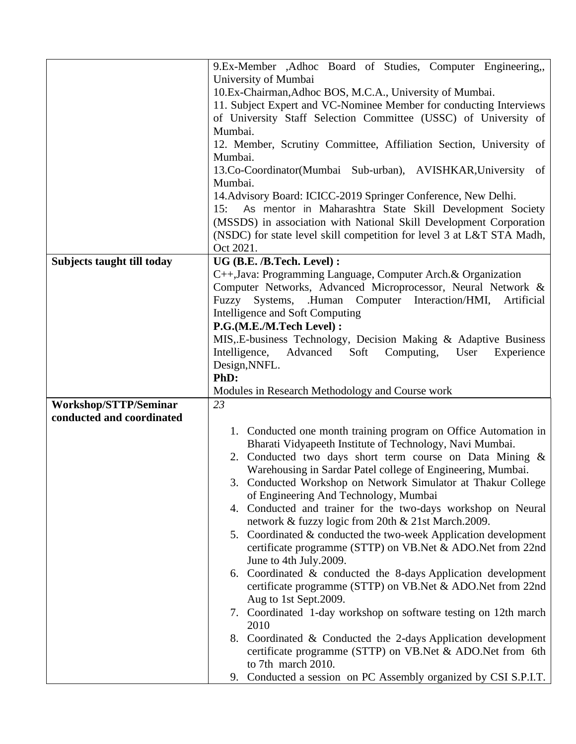|                                                    | 9.Ex-Member , Adhoc Board of Studies, Computer Engineering,                                                                 |  |
|----------------------------------------------------|-----------------------------------------------------------------------------------------------------------------------------|--|
|                                                    | University of Mumbai                                                                                                        |  |
|                                                    | 10.Ex-Chairman, Adhoc BOS, M.C.A., University of Mumbai.                                                                    |  |
|                                                    | 11. Subject Expert and VC-Nominee Member for conducting Interviews                                                          |  |
|                                                    | of University Staff Selection Committee (USSC) of University of                                                             |  |
|                                                    | Mumbai.                                                                                                                     |  |
|                                                    | 12. Member, Scrutiny Committee, Affiliation Section, University of                                                          |  |
|                                                    | Mumbai.                                                                                                                     |  |
|                                                    | 13.Co-Coordinator(Mumbai Sub-urban), AVISHKAR, University of                                                                |  |
|                                                    | Mumbai.                                                                                                                     |  |
|                                                    | 14. Advisory Board: ICICC-2019 Springer Conference, New Delhi.                                                              |  |
|                                                    | 15: As mentor in Maharashtra State Skill Development Society                                                                |  |
|                                                    | (MSSDS) in association with National Skill Development Corporation                                                          |  |
|                                                    | (NSDC) for state level skill competition for level 3 at L&T STA Madh,                                                       |  |
|                                                    | Oct 2021.                                                                                                                   |  |
| Subjects taught till today                         | UG (B.E. /B.Tech. Level) :                                                                                                  |  |
|                                                    | C++, Java: Programming Language, Computer Arch. & Organization                                                              |  |
|                                                    | Computer Networks, Advanced Microprocessor, Neural Network &<br>Systems, .Human Computer Interaction/HMI,                   |  |
|                                                    | Fuzzy<br>Artificial<br>Intelligence and Soft Computing                                                                      |  |
|                                                    | P.G.(M.E./M.Tech Level) :                                                                                                   |  |
|                                                    | MIS, E-business Technology, Decision Making & Adaptive Business                                                             |  |
|                                                    | Intelligence,<br>Advanced<br>Soft<br>Computing,<br>User<br>Experience                                                       |  |
|                                                    | Design, NNFL.                                                                                                               |  |
|                                                    |                                                                                                                             |  |
|                                                    |                                                                                                                             |  |
|                                                    | PhD:                                                                                                                        |  |
|                                                    | Modules in Research Methodology and Course work                                                                             |  |
| Workshop/STTP/Seminar<br>conducted and coordinated | 23                                                                                                                          |  |
|                                                    |                                                                                                                             |  |
|                                                    | 1. Conducted one month training program on Office Automation in<br>Bharati Vidyapeeth Institute of Technology, Navi Mumbai. |  |
|                                                    | 2. Conducted two days short term course on Data Mining &                                                                    |  |
|                                                    | Warehousing in Sardar Patel college of Engineering, Mumbai.                                                                 |  |
|                                                    | 3. Conducted Workshop on Network Simulator at Thakur College                                                                |  |
|                                                    | of Engineering And Technology, Mumbai                                                                                       |  |
|                                                    | 4. Conducted and trainer for the two-days workshop on Neural                                                                |  |
|                                                    | network & fuzzy logic from 20th & 21st March.2009.                                                                          |  |
|                                                    | 5. Coordinated & conducted the two-week Application development                                                             |  |
|                                                    | certificate programme (STTP) on VB.Net & ADO.Net from 22nd                                                                  |  |
|                                                    | June to 4th July.2009.                                                                                                      |  |
|                                                    | 6. Coordinated $\&$ conducted the 8-days Application development                                                            |  |
|                                                    | certificate programme (STTP) on VB. Net & ADO. Net from 22nd                                                                |  |
|                                                    | Aug to 1st Sept.2009.                                                                                                       |  |
|                                                    | 7. Coordinated 1-day workshop on software testing on 12th march                                                             |  |
|                                                    | 2010                                                                                                                        |  |
|                                                    | 8. Coordinated & Conducted the 2-days Application development                                                               |  |
|                                                    | certificate programme (STTP) on VB. Net & ADO. Net from 6th                                                                 |  |
|                                                    | to 7th march 2010.<br>Conducted a session on PC Assembly organized by CSI S.P.I.T.<br>9.                                    |  |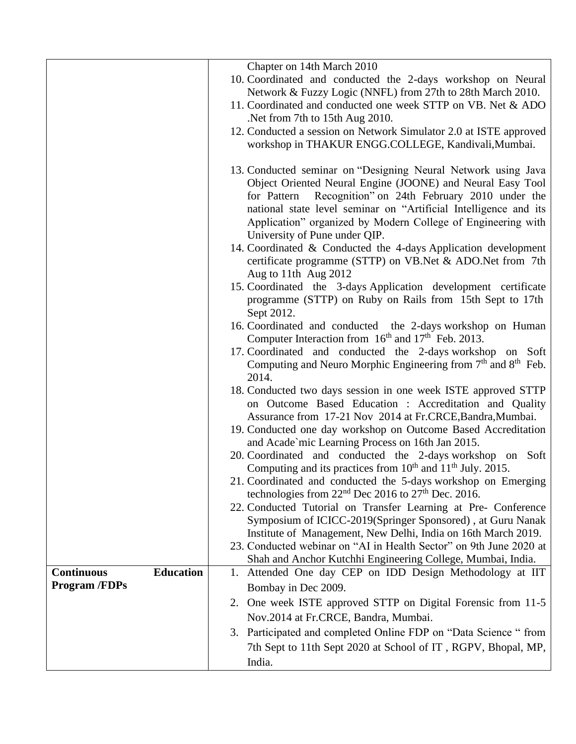|                                       | Chapter on 14th March 2010                                                                                                                                                                                                                                                                                                                                                                                                                                                                                                                                                                                                                                                                                                                                                                                                                                                                                                                                                                                              |
|---------------------------------------|-------------------------------------------------------------------------------------------------------------------------------------------------------------------------------------------------------------------------------------------------------------------------------------------------------------------------------------------------------------------------------------------------------------------------------------------------------------------------------------------------------------------------------------------------------------------------------------------------------------------------------------------------------------------------------------------------------------------------------------------------------------------------------------------------------------------------------------------------------------------------------------------------------------------------------------------------------------------------------------------------------------------------|
|                                       | 10. Coordinated and conducted the 2-days workshop on Neural                                                                                                                                                                                                                                                                                                                                                                                                                                                                                                                                                                                                                                                                                                                                                                                                                                                                                                                                                             |
|                                       | Network & Fuzzy Logic (NNFL) from 27th to 28th March 2010.                                                                                                                                                                                                                                                                                                                                                                                                                                                                                                                                                                                                                                                                                                                                                                                                                                                                                                                                                              |
|                                       | 11. Coordinated and conducted one week STTP on VB. Net & ADO                                                                                                                                                                                                                                                                                                                                                                                                                                                                                                                                                                                                                                                                                                                                                                                                                                                                                                                                                            |
|                                       | Net from 7th to 15th Aug 2010.                                                                                                                                                                                                                                                                                                                                                                                                                                                                                                                                                                                                                                                                                                                                                                                                                                                                                                                                                                                          |
|                                       | 12. Conducted a session on Network Simulator 2.0 at ISTE approved                                                                                                                                                                                                                                                                                                                                                                                                                                                                                                                                                                                                                                                                                                                                                                                                                                                                                                                                                       |
|                                       | workshop in THAKUR ENGG.COLLEGE, Kandivali, Mumbai.                                                                                                                                                                                                                                                                                                                                                                                                                                                                                                                                                                                                                                                                                                                                                                                                                                                                                                                                                                     |
|                                       | 13. Conducted seminar on "Designing Neural Network using Java<br>Object Oriented Neural Engine (JOONE) and Neural Easy Tool<br>for Pattern Recognition" on 24th February 2010 under the<br>national state level seminar on "Artificial Intelligence and its<br>Application" organized by Modern College of Engineering with<br>University of Pune under QIP.<br>14. Coordinated & Conducted the 4-days Application development<br>certificate programme (STTP) on VB.Net & ADO.Net from 7th<br>Aug to 11th Aug 2012<br>15. Coordinated the 3-days Application development certificate<br>programme (STTP) on Ruby on Rails from 15th Sept to 17th<br>Sept 2012.<br>16. Coordinated and conducted the 2-days workshop on Human<br>Computer Interaction from 16 <sup>th</sup> and 17 <sup>th</sup> Feb. 2013.<br>17. Coordinated and conducted the 2-days workshop on Soft<br>Computing and Neuro Morphic Engineering from $7th$ and $8th$ Feb.<br>2014.<br>18. Conducted two days session in one week ISTE approved STTP |
|                                       | on Outcome Based Education : Accreditation and Quality<br>Assurance from 17-21 Nov 2014 at Fr.CRCE, Bandra, Mumbai.                                                                                                                                                                                                                                                                                                                                                                                                                                                                                                                                                                                                                                                                                                                                                                                                                                                                                                     |
|                                       | 19. Conducted one day workshop on Outcome Based Accreditation<br>and Acade'mic Learning Process on 16th Jan 2015.                                                                                                                                                                                                                                                                                                                                                                                                                                                                                                                                                                                                                                                                                                                                                                                                                                                                                                       |
|                                       | 20. Coordinated and conducted the 2-days workshop on Soft                                                                                                                                                                                                                                                                                                                                                                                                                                                                                                                                                                                                                                                                                                                                                                                                                                                                                                                                                               |
|                                       | Computing and its practices from 10 <sup>th</sup> and 11 <sup>th</sup> July. 2015.                                                                                                                                                                                                                                                                                                                                                                                                                                                                                                                                                                                                                                                                                                                                                                                                                                                                                                                                      |
|                                       | 21. Coordinated and conducted the 5-days workshop on Emerging                                                                                                                                                                                                                                                                                                                                                                                                                                                                                                                                                                                                                                                                                                                                                                                                                                                                                                                                                           |
|                                       | technologies from $22nd$ Dec 2016 to $27th$ Dec. 2016.                                                                                                                                                                                                                                                                                                                                                                                                                                                                                                                                                                                                                                                                                                                                                                                                                                                                                                                                                                  |
|                                       | 22. Conducted Tutorial on Transfer Learning at Pre- Conference                                                                                                                                                                                                                                                                                                                                                                                                                                                                                                                                                                                                                                                                                                                                                                                                                                                                                                                                                          |
|                                       | Symposium of ICICC-2019(Springer Sponsored), at Guru Nanak                                                                                                                                                                                                                                                                                                                                                                                                                                                                                                                                                                                                                                                                                                                                                                                                                                                                                                                                                              |
|                                       | Institute of Management, New Delhi, India on 16th March 2019.                                                                                                                                                                                                                                                                                                                                                                                                                                                                                                                                                                                                                                                                                                                                                                                                                                                                                                                                                           |
|                                       | 23. Conducted webinar on "AI in Health Sector" on 9th June 2020 at                                                                                                                                                                                                                                                                                                                                                                                                                                                                                                                                                                                                                                                                                                                                                                                                                                                                                                                                                      |
| <b>Education</b><br><b>Continuous</b> | Shah and Anchor Kutchhi Engineering College, Mumbai, India.                                                                                                                                                                                                                                                                                                                                                                                                                                                                                                                                                                                                                                                                                                                                                                                                                                                                                                                                                             |
| <b>Program /FDPs</b>                  | 1. Attended One day CEP on IDD Design Methodology at IIT<br>Bombay in Dec 2009.                                                                                                                                                                                                                                                                                                                                                                                                                                                                                                                                                                                                                                                                                                                                                                                                                                                                                                                                         |
|                                       | 2. One week ISTE approved STTP on Digital Forensic from 11-5                                                                                                                                                                                                                                                                                                                                                                                                                                                                                                                                                                                                                                                                                                                                                                                                                                                                                                                                                            |
|                                       | Nov.2014 at Fr.CRCE, Bandra, Mumbai.                                                                                                                                                                                                                                                                                                                                                                                                                                                                                                                                                                                                                                                                                                                                                                                                                                                                                                                                                                                    |
|                                       | 3. Participated and completed Online FDP on "Data Science " from                                                                                                                                                                                                                                                                                                                                                                                                                                                                                                                                                                                                                                                                                                                                                                                                                                                                                                                                                        |
|                                       |                                                                                                                                                                                                                                                                                                                                                                                                                                                                                                                                                                                                                                                                                                                                                                                                                                                                                                                                                                                                                         |
|                                       | 7th Sept to 11th Sept 2020 at School of IT, RGPV, Bhopal, MP,                                                                                                                                                                                                                                                                                                                                                                                                                                                                                                                                                                                                                                                                                                                                                                                                                                                                                                                                                           |
|                                       | India.                                                                                                                                                                                                                                                                                                                                                                                                                                                                                                                                                                                                                                                                                                                                                                                                                                                                                                                                                                                                                  |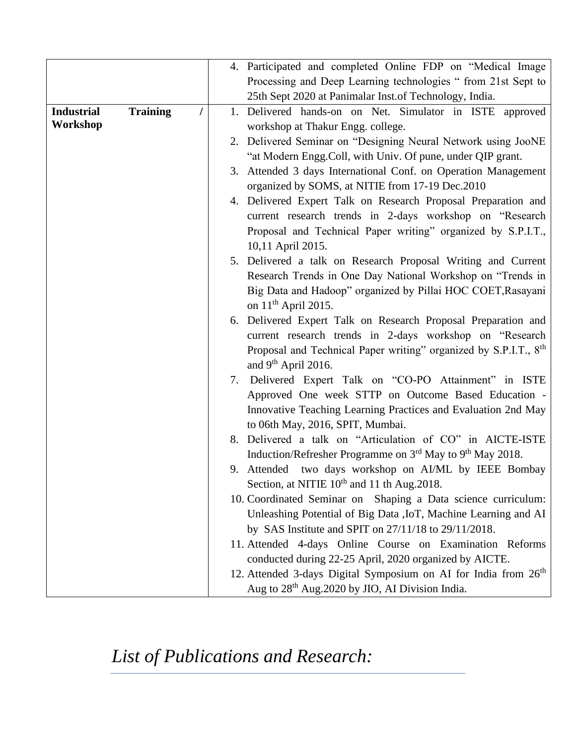|                   |                 |          | 4. Participated and completed Online FDP on "Medical Image                        |
|-------------------|-----------------|----------|-----------------------------------------------------------------------------------|
|                   |                 |          | Processing and Deep Learning technologies "from 21st Sept to                      |
|                   |                 |          | 25th Sept 2020 at Panimalar Inst. of Technology, India.                           |
| <b>Industrial</b> | <b>Training</b> | $\prime$ | 1. Delivered hands-on on Net. Simulator in ISTE approved                          |
| Workshop          |                 |          | workshop at Thakur Engg. college.                                                 |
|                   |                 |          | 2. Delivered Seminar on "Designing Neural Network using JooNE                     |
|                   |                 |          | "at Modern Engg.Coll, with Univ. Of pune, under QIP grant.                        |
|                   |                 |          | 3. Attended 3 days International Conf. on Operation Management                    |
|                   |                 |          | organized by SOMS, at NITIE from 17-19 Dec.2010                                   |
|                   |                 |          | 4. Delivered Expert Talk on Research Proposal Preparation and                     |
|                   |                 |          | current research trends in 2-days workshop on "Research"                          |
|                   |                 |          | Proposal and Technical Paper writing" organized by S.P.I.T.,<br>10,11 April 2015. |
|                   |                 |          | 5. Delivered a talk on Research Proposal Writing and Current                      |
|                   |                 |          | Research Trends in One Day National Workshop on "Trends in                        |
|                   |                 |          | Big Data and Hadoop" organized by Pillai HOC COET, Rasayani                       |
|                   |                 |          | on $11th$ April 2015.                                                             |
|                   |                 |          | 6. Delivered Expert Talk on Research Proposal Preparation and                     |
|                   |                 |          | current research trends in 2-days workshop on "Research"                          |
|                   |                 |          | Proposal and Technical Paper writing" organized by S.P.I.T., 8 <sup>th</sup>      |
|                   |                 |          | and $9th$ April 2016.                                                             |
|                   |                 |          | 7. Delivered Expert Talk on "CO-PO Attainment" in ISTE                            |
|                   |                 |          | Approved One week STTP on Outcome Based Education -                               |
|                   |                 |          | Innovative Teaching Learning Practices and Evaluation 2nd May                     |
|                   |                 |          | to 06th May, 2016, SPIT, Mumbai.                                                  |
|                   |                 |          | 8. Delivered a talk on "Articulation of CO" in AICTE-ISTE                         |
|                   |                 |          | Induction/Refresher Programme on 3 <sup>rd</sup> May to 9 <sup>th</sup> May 2018. |
|                   |                 |          | 9. Attended two days workshop on AI/ML by IEEE Bombay                             |
|                   |                 |          | Section, at NITIE 10 <sup>th</sup> and 11 th Aug. 2018.                           |
|                   |                 |          | 10. Coordinated Seminar on Shaping a Data science curriculum:                     |
|                   |                 |          | Unleashing Potential of Big Data , IoT, Machine Learning and AI                   |
|                   |                 |          | by SAS Institute and SPIT on $27/11/18$ to $29/11/2018$ .                         |
|                   |                 |          | 11. Attended 4-days Online Course on Examination Reforms                          |
|                   |                 |          | conducted during 22-25 April, 2020 organized by AICTE.                            |
|                   |                 |          | 12. Attended 3-days Digital Symposium on AI for India from 26 <sup>th</sup>       |
|                   |                 |          | Aug to 28 <sup>th</sup> Aug. 2020 by JIO, AI Division India.                      |

*List of Publications and Research:*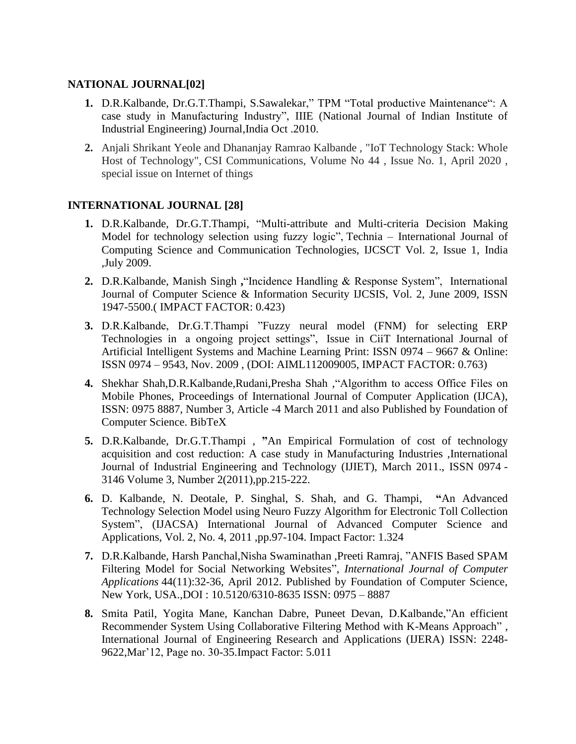#### **NATIONAL JOURNAL[02]**

- **1.** D.R.Kalbande, Dr.G.T.Thampi, S.Sawalekar," TPM "Total productive Maintenance": A case study in Manufacturing Industry", IIIE (National Journal of Indian Institute of Industrial Engineering) Journal,India Oct .2010.
- **2.** Anjali Shrikant Yeole and Dhananjay Ramrao Kalbande , "IoT Technology Stack: Whole Host of Technology", CSI Communications, Volume No 44 , Issue No. 1, April 2020 , special issue on Internet of things

## **INTERNATIONAL JOURNAL [28]**

- **1.** D.R.Kalbande, Dr.G.T.Thampi, "Multi-attribute and Multi-criteria Decision Making Model for technology selection using fuzzy logic", Technia – International Journal of Computing Science and Communication Technologies, IJCSCT Vol. 2, Issue 1, India ,July 2009.
- **2.** D.R.Kalbande, Manish Singh **,**"Incidence Handling & Response System", International Journal of Computer Science & Information Security IJCSIS, Vol. 2, June 2009, ISSN 1947-5500.( IMPACT FACTOR: 0.423)
- **3.** D.R.Kalbande, Dr.G.T.Thampi "Fuzzy neural model (FNM) for selecting ERP Technologies in a ongoing project settings", Issue in CiiT International Journal of Artificial Intelligent Systems and Machine Learning Print: ISSN 0974 – 9667 & Online: ISSN 0974 – 9543, Nov. 2009 , (DOI: AIML112009005, IMPACT FACTOR: 0.763)
- **4.** Shekhar Shah,D.R.Kalbande,Rudani,Presha Shah ,"Algorithm to access Office Files on Mobile Phones, Proceedings of International Journal of Computer Application (IJCA), ISSN: 0975 8887, Number 3, Article -4 March 2011 and also Published by Foundation of Computer Science. BibTeX
- **5.** D.R.Kalbande, Dr.G.T.Thampi , **"**An Empirical Formulation of cost of technology acquisition and cost reduction: A case study in Manufacturing Industries ,International Journal of Industrial Engineering and Technology (IJIET), March 2011., ISSN 0974 - 3146 Volume 3, Number 2(2011),pp.215-222.
- **6.** D. Kalbande, N. Deotale, P. Singhal, S. Shah, and G. Thampi, **"**An Advanced Technology Selection Model using Neuro Fuzzy Algorithm for Electronic Toll Collection System", (IJACSA) International Journal of Advanced Computer Science and Applications, Vol. 2, No. 4, 2011 ,pp.97-104. Impact Factor: 1.324
- **7.** D.R.Kalbande, Harsh Panchal,Nisha Swaminathan ,Preeti Ramraj, "ANFIS Based SPAM Filtering Model for Social Networking Websites", *International Journal of Computer Applications* 44(11):32-36, April 2012. Published by Foundation of Computer Science, New York, USA.,DOI : 10.5120/6310-8635 ISSN: 0975 – 8887
- **8.** Smita Patil, Yogita Mane, Kanchan Dabre, Puneet Devan, D.Kalbande,"An efficient Recommender System Using Collaborative Filtering Method with K-Means Approach" , International Journal of Engineering Research and Applications (IJERA) ISSN: 2248- 9622,Mar'12, Page no. 30-35.Impact Factor: 5.011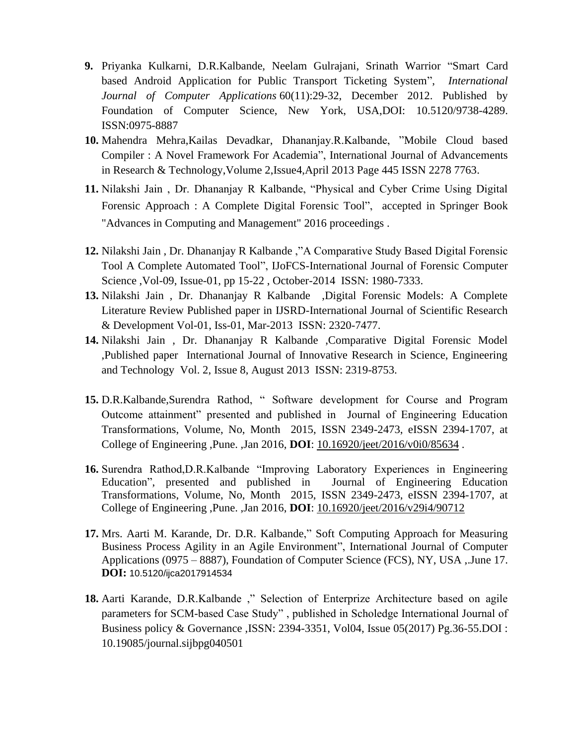- **9.** Priyanka Kulkarni, D.R.Kalbande, Neelam Gulrajani, Srinath Warrior "Smart Card based Android Application for Public Transport Ticketing System", *International Journal of Computer Applications* 60(11):29-32, December 2012. Published by Foundation of Computer Science, New York, USA,DOI: 10.5120/9738-4289. ISSN:0975-8887
- **10.** Mahendra Mehra,Kailas Devadkar, Dhananjay.R.Kalbande, "Mobile Cloud based Compiler : A Novel Framework For Academia", International Journal of Advancements in Research & Technology,Volume 2,Issue4,April 2013 Page 445 ISSN 2278 7763.
- **11.** Nilakshi Jain , Dr. Dhananjay R Kalbande, "Physical and Cyber Crime Using Digital Forensic Approach : A Complete Digital Forensic Tool", accepted in Springer Book "Advances in Computing and Management" 2016 proceedings .
- **12.** Nilakshi Jain , Dr. Dhananjay R Kalbande ,"A Comparative Study Based Digital Forensic Tool A Complete Automated Tool", IJoFCS-International Journal of Forensic Computer Science ,Vol-09, Issue-01, pp 15-22 , October-2014 ISSN: 1980-7333.
- **13.** Nilakshi Jain , Dr. Dhananjay R Kalbande ,Digital Forensic Models: A Complete Literature Review Published paper in IJSRD-International Journal of Scientific Research & Development Vol-01, Iss-01, Mar-2013 ISSN: 2320-7477.
- **14.** Nilakshi Jain , Dr. Dhananjay R Kalbande ,Comparative Digital Forensic Model ,Published paper International Journal of Innovative Research in Science, Engineering and Technology Vol. 2, Issue 8, August 2013 ISSN: 2319-8753.
- **15.** D.R.Kalbande,Surendra Rathod, " Software development for Course and Program Outcome attainment" presented and published in Journal of Engineering Education Transformations, Volume, No, Month 2015, ISSN 2349-2473, eISSN 2394-1707, at College of Engineering ,Pune. ,Jan 2016, **DOI**: [10.16920/jeet/2016/v0i0/85634](http://dx.doi.org/10.16920/jeet%2F2016%2Fv0i0%2F85634) .
- **16.** Surendra Rathod,D.R.Kalbande "Improving Laboratory Experiences in Engineering Education", presented and published in Journal of Engineering Education Transformations, Volume, No, Month 2015, ISSN 2349-2473, eISSN 2394-1707, at College of Engineering ,Pune. ,Jan 2016, **DOI**: [10.16920/jeet/2016/v29i4/90712](http://dx.doi.org/10.16920/jeet%2F2016%2Fv29i4%2F90712)
- **17.** Mrs. Aarti M. Karande, Dr. D.R. Kalbande," Soft Computing Approach for Measuring Business Process Agility in an Agile Environment", International Journal of Computer Applications (0975 – 8887), Foundation of Computer Science (FCS), NY, USA ,.June 17. **DOI:** 10.5120/ijca2017914534
- **18.** Aarti Karande, D.R.Kalbande ," Selection of Enterprize Architecture based on agile parameters for SCM-based Case Study" , published in Scholedge International Journal of Business policy & Governance ,ISSN: 2394-3351, Vol04, Issue 05(2017) Pg.36-55.DOI : 10.19085/journal.sijbpg040501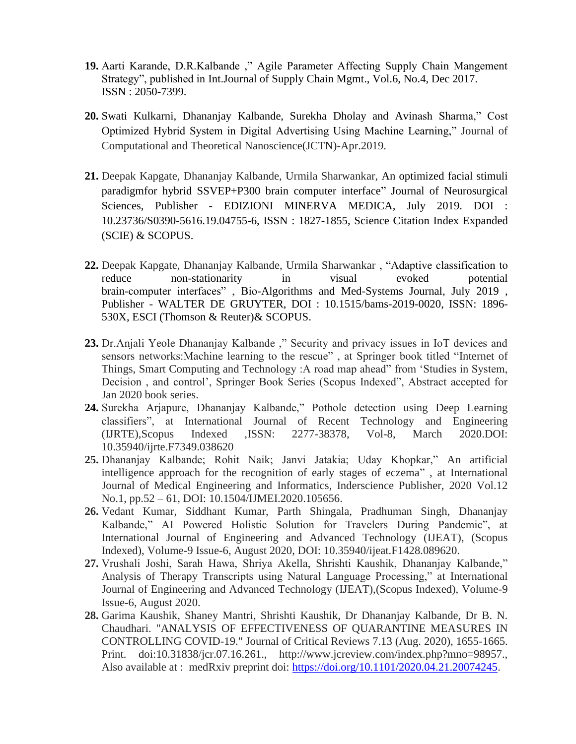- **19.** Aarti Karande, D.R.Kalbande ," Agile Parameter Affecting Supply Chain Mangement Strategy", published in Int.Journal of Supply Chain Mgmt., Vol.6, No.4, Dec 2017. ISSN : 2050-7399.
- **20.** Swati Kulkarni, Dhananjay Kalbande, Surekha Dholay and Avinash Sharma," Cost Optimized Hybrid System in Digital Advertising Using Machine Learning," Journal of Computational and Theoretical Nanoscience(JCTN)-Apr.2019.
- **21.** Deepak Kapgate, Dhananjay Kalbande, Urmila Sharwankar, An optimized facial stimuli paradigmfor hybrid SSVEP+P300 brain computer interface" Journal of Neurosurgical Sciences, Publisher - EDIZIONI MINERVA MEDICA, July 2019. DOI : 10.23736/S0390-5616.19.04755-6, ISSN : 1827-1855, Science Citation Index Expanded (SCIE) & SCOPUS.
- **22.** Deepak Kapgate, Dhananjay Kalbande, Urmila Sharwankar , "Adaptive classification to reduce non-stationarity in visual evoked potential brain-computer interfaces" , Bio-Algorithms and Med-Systems Journal, July 2019 , Publisher - WALTER DE GRUYTER, DOI : 10.1515/bams-2019-0020, ISSN: 1896- 530X, ESCI (Thomson & Reuter)& SCOPUS.
- **23.** Dr.Anjali Yeole Dhananjay Kalbande ," Security and privacy issues in IoT devices and sensors networks:Machine learning to the rescue" , at Springer book titled "Internet of Things, Smart Computing and Technology :A road map ahead" from 'Studies in System, Decision , and control', Springer Book Series (Scopus Indexed", Abstract accepted for Jan 2020 book series.
- **24.** Surekha Arjapure, Dhananjay Kalbande," Pothole detection using Deep Learning classifiers", at International Journal of Recent Technology and Engineering (IJRTE),Scopus Indexed ,ISSN: 2277-38378, Vol-8, March 2020.DOI: 10.35940/ijrte.F7349.038620
- **25.** Dhananjay Kalbande; Rohit Naik; Janvi Jatakia; Uday Khopkar," [An artificial](https://www.inderscience.com/filter.php?aid=105656)  [intelligence approach for the recognition of early stages of eczema"](https://www.inderscience.com/filter.php?aid=105656) , at International Journal of Medical Engineering and Informatics, Inderscience Publisher, 2020 Vol.12 No.1, pp.52 – 61, DOI: [10.1504/IJMEI.2020.105656.](https://dx.doi.org/10.1504/IJMEI.2020.105656)
- **26.** Vedant Kumar, Siddhant Kumar, Parth Shingala, Pradhuman Singh, Dhananjay Kalbande," AI Powered Holistic Solution for Travelers During Pandemic", at International Journal of Engineering and Advanced Technology (IJEAT), (Scopus Indexed), Volume-9 Issue-6, August 2020, DOI: 10.35940/ijeat.F1428.089620.
- **27.** Vrushali Joshi, Sarah Hawa, Shriya Akella, Shrishti Kaushik, Dhananjay Kalbande," Analysis of Therapy Transcripts using Natural Language Processing," at International Journal of Engineering and Advanced Technology (IJEAT),(Scopus Indexed), Volume-9 Issue-6, August 2020.
- **28.** Garima Kaushik, Shaney Mantri, Shrishti Kaushik, Dr Dhananjay Kalbande, Dr B. N. Chaudhari. "ANALYSIS OF EFFECTIVENESS OF QUARANTINE MEASURES IN CONTROLLING COVID-19." Journal of Critical Reviews 7.13 (Aug. 2020), 1655-1665. Print. doi:10.31838/jcr.07.16.261., http://www.jcreview.com/index.php?mno=98957., Also available at : medRxiv preprint doi: [https://doi.org/10.1101/2020.04.21.20074245.](https://doi.org/10.1101/2020.04.21.20074245)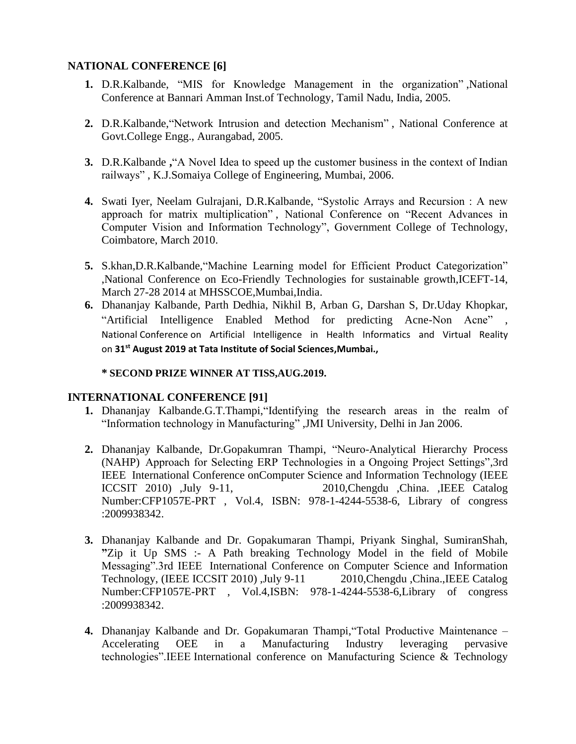#### **NATIONAL CONFERENCE [6]**

- **1.** D.R.Kalbande, "MIS for Knowledge Management in the organization" ,National Conference at Bannari Amman Inst.of Technology, Tamil Nadu, India, 2005.
- **2.** D.R.Kalbande,"Network Intrusion and detection Mechanism" , National Conference at Govt.College Engg., Aurangabad, 2005.
- **3.** D.R.Kalbande **,**"A Novel Idea to speed up the customer business in the context of Indian railways" , K.J.Somaiya College of Engineering, Mumbai, 2006.
- **4.** Swati Iyer, Neelam Gulrajani, D.R.Kalbande, "Systolic Arrays and Recursion : A new approach for matrix multiplication" , National Conference on "Recent Advances in Computer Vision and Information Technology", Government College of Technology, Coimbatore, March 2010.
- **5.** S.khan,D.R.Kalbande,"Machine Learning model for Efficient Product Categorization" ,National Conference on Eco-Friendly Technologies for sustainable growth,ICEFT-14, March 27-28 2014 at MHSSCOE,Mumbai,India.
- **6.** Dhananjay Kalbande, Parth Dedhia, Nikhil B, Arban G, Darshan S, Dr.Uday Khopkar, "Artificial Intelligence Enabled Method for predicting Acne-Non Acne" , National Conference on Artificial Intelligence in Health Informatics and Virtual Reality on **31st August 2019 at Tata Institute of Social Sciences,Mumbai.,**

#### **\* SECOND PRIZE WINNER AT TISS,AUG.2019.**

#### **INTERNATIONAL CONFERENCE [91]**

- **1.** Dhananjay Kalbande.G.T.Thampi,"Identifying the research areas in the realm of "Information technology in Manufacturing" ,JMI University, Delhi in Jan 2006.
- **2.** Dhananjay Kalbande, Dr.Gopakumran Thampi, "Neuro-Analytical Hierarchy Process (NAHP) Approach for Selecting ERP Technologies in a Ongoing Project Settings",3rd IEEE International Conference onComputer Science and Information Technology (IEEE ICCSIT 2010) ,July 9-11, 2010,Chengdu ,China. ,IEEE Catalog Number:CFP1057E-PRT , Vol.4, ISBN: 978-1-4244-5538-6, Library of congress :2009938342.
- **3.** Dhananjay Kalbande and Dr. Gopakumaran Thampi, Priyank Singhal, SumiranShah, **"**Zip it Up SMS :- A Path breaking Technology Model in the field of Mobile Messaging".3rd IEEE International Conference on Computer Science and Information Technology, (IEEE ICCSIT 2010) ,July 9-11 2010,Chengdu ,China.,IEEE Catalog Number:CFP1057E-PRT , Vol.4,ISBN: 978-1-4244-5538-6,Library of congress :2009938342.
- **4.** Dhananjay Kalbande and Dr. Gopakumaran Thampi,"Total Productive Maintenance Accelerating OEE in a Manufacturing Industry leveraging pervasive technologies".IEEE International conference on Manufacturing Science & Technology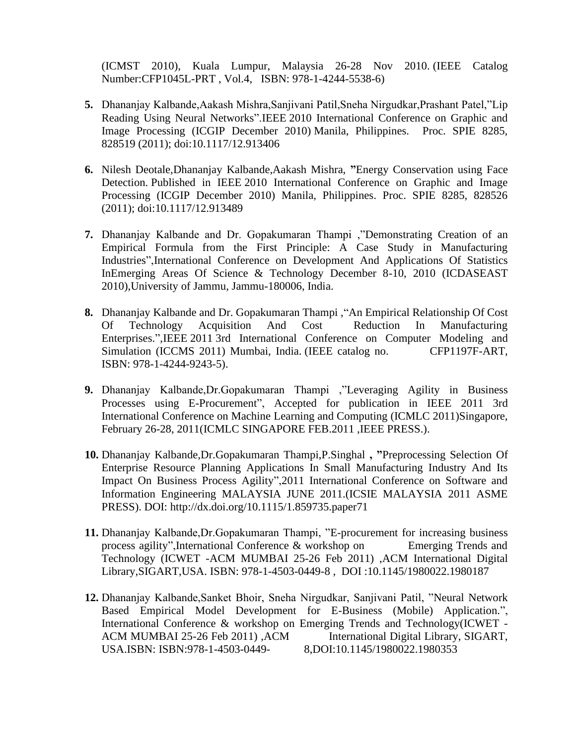(ICMST 2010), Kuala Lumpur, Malaysia 26-28 Nov 2010. (IEEE Catalog Number:CFP1045L-PRT , Vol.4, ISBN: 978-1-4244-5538-6)

- **5.** Dhananjay Kalbande,Aakash Mishra,Sanjivani Patil,Sneha Nirgudkar,Prashant Patel,"Lip Reading Using Neural Networks".IEEE 2010 International Conference on Graphic and Image Processing (ICGIP December 2010) Manila, Philippines. Proc. SPIE 8285, 828519 (2011); doi:10.1117/12.913406
- **6.** Nilesh Deotale,Dhananjay Kalbande,Aakash Mishra, **"**Energy Conservation using Face Detection. Published in IEEE 2010 International Conference on Graphic and Image Processing (ICGIP December 2010) Manila, Philippines. Proc. SPIE 8285, 828526 (2011); doi:10.1117/12.913489
- **7.** Dhananjay Kalbande and Dr. Gopakumaran Thampi ,"Demonstrating Creation of an Empirical Formula from the First Principle: A Case Study in Manufacturing Industries",International Conference on Development And Applications Of Statistics InEmerging Areas Of Science & Technology December 8-10, 2010 (ICDASEAST 2010),University of Jammu, Jammu-180006, India.
- **8.** Dhananjay Kalbande and Dr. Gopakumaran Thampi ,"An Empirical Relationship Of Cost Of Technology Acquisition And Cost Reduction In Manufacturing Enterprises.",IEEE 2011 3rd International Conference on Computer Modeling and Simulation (ICCMS 2011) Mumbai, India. (IEEE catalog no. CFP1197F-ART, ISBN: 978-1-4244-9243-5).
- **9.** Dhananjay Kalbande,Dr.Gopakumaran Thampi ,"Leveraging Agility in Business Processes using E-Procurement", Accepted for publication in IEEE 2011 3rd International Conference on Machine Learning and Computing (ICMLC 2011)Singapore, February 26-28, 2011(ICMLC SINGAPORE FEB.2011, IEEE PRESS.).
- **10.** Dhananjay Kalbande,Dr.Gopakumaran Thampi,P.Singhal **, "**Preprocessing Selection Of Enterprise Resource Planning Applications In Small Manufacturing Industry And Its Impact On Business Process Agility",2011 International Conference on Software and Information Engineering MALAYSIA JUNE 2011.(ICSIE MALAYSIA 2011 ASME PRESS). DOI: http://dx.doi.org/10.1115/1.859735.paper71
- **11.** Dhananjay Kalbande,Dr.Gopakumaran Thampi, "E-procurement for increasing business process agility",International Conference & workshop on Emerging Trends and Technology (ICWET -ACM MUMBAI 25-26 Feb 2011) ,ACM International Digital Library,SIGART,USA. ISBN: 978-1-4503-0449-8 , DOI :10.1145/1980022.1980187
- **12.** Dhananjay Kalbande,Sanket Bhoir, Sneha Nirgudkar, Sanjivani Patil, "Neural Network Based Empirical Model Development for E-Business (Mobile) Application.", International Conference & workshop on Emerging Trends and Technology(ICWET - ACM MUMBAI 25-26 Feb 2011) ,ACM International Digital Library, SIGART, USA.ISBN: ISBN:978-1-4503-0449- 8,DOI:10.1145/1980022.1980353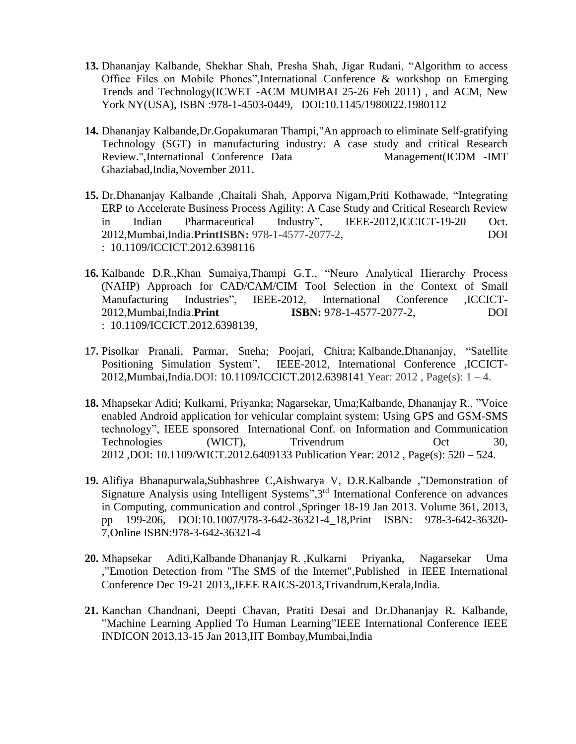- **13.** Dhananjay Kalbande, Shekhar Shah, Presha Shah, Jigar Rudani, "Algorithm to access Office Files on Mobile Phones",International Conference & workshop on Emerging Trends and Technology(ICWET -ACM MUMBAI 25-26 Feb 2011) , and ACM, New York NY(USA), ISBN :978-1-4503-0449, DOI:10.1145/1980022.1980112
- **14.** Dhananjay Kalbande,Dr.Gopakumaran Thampi,"An approach to eliminate Self-gratifying Technology (SGT) in manufacturing industry: A case study and critical Research Review.",International Conference Data Management(ICDM -IMT Ghaziabad,India,November 2011.
- **15.** Dr.Dhananjay Kalbande ,Chaitali Shah, Apporva Nigam,Priti Kothawade, "Integrating ERP to Accelerate Business Process Agility: A Case Study and Critical Research Review in Indian Pharmaceutical Industry", IEEE-2012,ICCICT-19-20 Oct. 2012,Mumbai,India.**PrintISBN:** 978-1-4577-2077-2, DOI : [10.1109/ICCICT.2012.6398116](http://dx.doi.org/10.1109/ICCICT.2012.6398116)
- **16.** Kalbande D.R.,Khan Sumaiya,Thampi G.T., "Neuro Analytical Hierarchy Process (NAHP) Approach for CAD/CAM/CIM Tool Selection in the Context of Small Manufacturing Industries", IEEE-2012, International Conference ,ICCICT-2012,Mumbai,India.**Print ISBN:** 978-1-4577-2077-2, DOI : [10.1109/ICCICT.2012.6398139,](http://dx.doi.org/10.1109/ICCICT.2012.6398139)
- **17.** Pisolkar Pranali, Parmar, Sneha; Poojari, Chitra; Kalbande,Dhananjay, "Satellite Positioning Simulation System", IEEE-2012, International Conference ,ICCICT-2012,Mumbai,India.DOI: 10.1109/ICCICT.2012.6398141 Year: 2012 , Page(s): 1 – 4.
- **18.** Mhapsekar Aditi; Kulkarni, Priyanka; Nagarsekar, Uma;Kalbande, Dhananjay R., "Voice enabled Android application for vehicular complaint system: Using GPS and GSM-SMS technology", IEEE sponsored International Conf. on Information and Communication Technologies (WICT), Trivendrum Oct 30, 2012 ,DOI: 10.1109/WICT.2012.6409133 Publication Year: 2012 , Page(s): 520 – 524.
- **19.** Alifiya Bhanapurwala,Subhashree C,Aishwarya V, D.R.Kalbande ,"Demonstration of Signature Analysis using Intelligent Systems", 3<sup>rd</sup> International Conference on advances in Computing, communication and control ,Springer 18-19 Jan 2013. Volume 361, 2013, pp 199-206, DOI:10.1007/978-3-642-36321-4\_18,Print ISBN: 978-3-642-36320- 7,Online ISBN:978-3-642-36321-4
- **20.** Mhapsekar Aditi,Kalbande Dhananjay R. ,Kulkarni Priyanka, Nagarsekar Uma ,"Emotion Detection from "The SMS of the Internet",Published in IEEE International Conference Dec 19-21 2013,,IEEE RAICS-2013,Trivandrum,Kerala,India.
- **21.** Kanchan Chandnani, Deepti Chavan, Pratiti Desai and Dr.Dhananjay R. Kalbande, "Machine Learning Applied To Human Learning"IEEE International Conference IEEE INDICON 2013,13-15 Jan 2013,IIT Bombay,Mumbai,India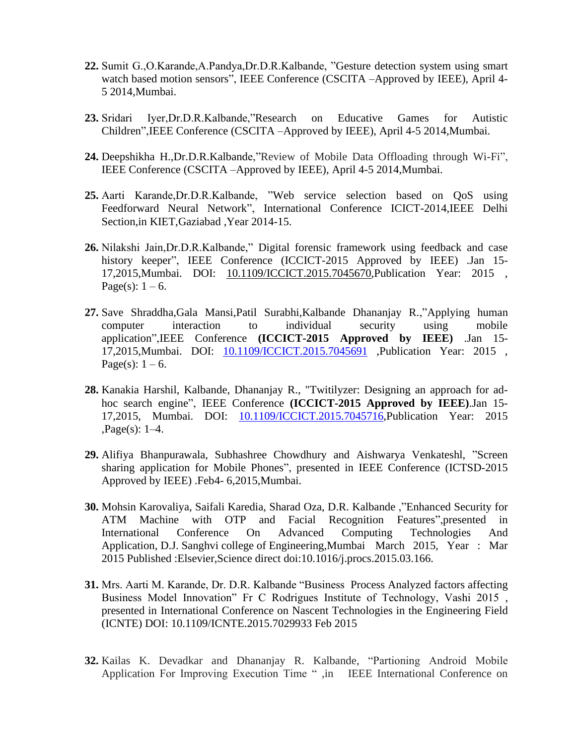- **22.** Sumit G.,O.Karande,A.Pandya,Dr.D.R.Kalbande, "Gesture detection system using smart watch based motion sensors", IEEE Conference (CSCITA –Approved by IEEE), April 4-5 2014,Mumbai.
- **23.** Sridari Iyer,Dr.D.R.Kalbande,"Research on Educative Games for Autistic Children",IEEE Conference (CSCITA –Approved by IEEE), April 4-5 2014,Mumbai.
- **24.** Deepshikha H.,Dr.D.R.Kalbande,"Review of Mobile Data Offloading through Wi-Fi", IEEE Conference (CSCITA –Approved by IEEE), April 4-5 2014,Mumbai.
- **25.** Aarti Karande,Dr.D.R.Kalbande, "Web service selection based on QoS using Feedforward Neural Network", International Conference ICICT-2014,IEEE Delhi Section,in KIET,Gaziabad ,Year 2014-15.
- **26.** Nilakshi Jain,Dr.D.R.Kalbande," Digital forensic framework using feedback and case history keeper", IEEE Conference (ICCICT-2015 Approved by IEEE) .Jan 15-17,2015,Mumbai. DOI: [10.1109/ICCICT.2015.7045670,](http://dx.doi.org/10.1109/ICCICT.2015.7045670)Publication Year: 2015 , Page(s):  $1 - 6$ .
- **27.** Save [Shraddha,](http://ieeexplore.ieee.org/search/searchresult.jsp?searchWithin=p_Authors:.QT.Save,%20Shraddha.QT.&newsearch=true)[Gala Mansi](http://ieeexplore.ieee.org/search/searchresult.jsp?searchWithin=p_Authors:.QT.Gala,%20Mansi.QT.&newsearch=true)[,Patil Surabhi](http://ieeexplore.ieee.org/search/searchresult.jsp?searchWithin=p_Authors:.QT.Patil,%20Surabhi.QT.&newsearch=true)[,Kalbande Dhananjay R.,](http://ieeexplore.ieee.org/search/searchresult.jsp?searchWithin=p_Authors:.QT.Kalbande,%20Dhananjay%20R..QT.&newsearch=true)["Applying human](http://ieeexplore.ieee.org/xpl/articleDetails.jsp?tp=&arnumber=7045691&refinements%3D4257941077%26queryText%3DICCICT+2015)  [computer interaction to individual security using mobile](http://ieeexplore.ieee.org/xpl/articleDetails.jsp?tp=&arnumber=7045691&refinements%3D4257941077%26queryText%3DICCICT+2015)  [application"](http://ieeexplore.ieee.org/xpl/articleDetails.jsp?tp=&arnumber=7045691&refinements%3D4257941077%26queryText%3DICCICT+2015),IEEE Conference **(ICCICT-2015 Approved by IEEE)** .Jan 15- 17,2015,Mumbai. DOI: [10.1109/ICCICT.2015.7045691](http://dx.doi.org/10.1109/ICCICT.2015.7045691) ,Publication Year: 2015 , Page(s):  $1 - 6$ .
- **28.** Kanakia Harshil, [Kalbande, Dhananjay R.,](http://ieeexplore.ieee.org/search/searchresult.jsp?searchWithin=p_Authors:.QT.Kalbande,%20Dhananjay%20R..QT.&newsearch=true) ["Twitilyzer: Designing an approach for ad](http://ieeexplore.ieee.org/xpl/articleDetails.jsp?tp=&arnumber=7045716&refinements%3D4257941077%26queryText%3DICCICT+2015)[hoc search engine"](http://ieeexplore.ieee.org/xpl/articleDetails.jsp?tp=&arnumber=7045716&refinements%3D4257941077%26queryText%3DICCICT+2015), IEEE Conference **(ICCICT-2015 Approved by IEEE)**.Jan 15- 17,2015, Mumbai. DOI: [10.1109/ICCICT.2015.7045716,](http://dx.doi.org/10.1109/ICCICT.2015.7045716)Publication Year: 2015 ,Page(s): 1–4.
- **29.** Alifiya Bhanpurawala, Subhashree Chowdhury and Aishwarya Venkateshl, ["Screen](http://ieeexplore.ieee.org/xpl/articleDetails.jsp?tp=&arnumber=7045716&refinements%3D4257941077%26queryText%3DICCICT+2015) sharing application for Mobile Phones", presented in IEEE Conference (ICTSD-2015 Approved by IEEE) .Feb4- 6,2015,Mumbai.
- **30.** Mohsin Karovaliya, Saifali Karedia, Sharad Oza, D.R. Kalbande ,"Enhanced Security for ATM Machine with OTP and Facial Recognition Features",presented in International Conference On Advanced Computing Technologies And Application, D.J. Sanghvi college of Engineering,Mumbai March 2015, Year : Mar 2015 Published :Elsevier,Science direct [doi:10.1016/j.procs.2015.03.166.](http://dx.doi.org/10.1016/j.procs.2015.03.166)
- **31.** Mrs. Aarti M. Karande, Dr. D.R. Kalbande "Business Process Analyzed factors affecting Business Model Innovation" Fr C Rodrigues Institute of Technology, Vashi 2015 , presented in International Conference on Nascent Technologies in the Engineering Field (ICNTE) DOI: [10.1109/ICNTE.2015.7029933](http://dx.doi.org/10.1109/ICNTE.2015.7029933) Feb 2015
- **32.** Kailas K. Devadkar and Dhananjay R. Kalbande, "Partioning Android Mobile Application For Improving Execution Time " ,in IEEE International Conference on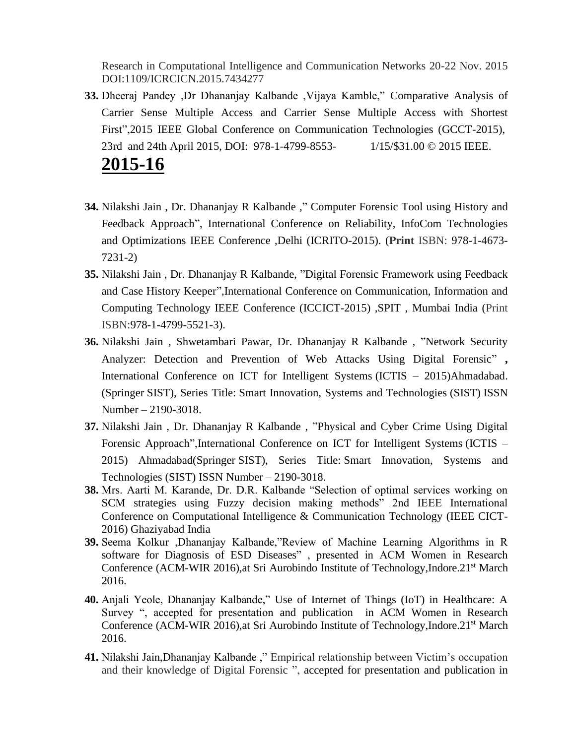Research in Computational Intelligence and Communication Networks 20-22 Nov. 2015 DOI:1109/ICRCICN.2015.7434277

- **33.** Dheeraj Pandey ,Dr Dhananjay Kalbande ,Vijaya Kamble," Comparative Analysis of Carrier Sense Multiple Access and Carrier Sense Multiple Access with Shortest First",2015 IEEE Global Conference on Communication Technologies (GCCT-2015), 23rd and 24th April 2015, DOI: 978-1-4799-8553- 1/15/\$31.00 © 2015 IEEE. **2015-16**
- **34.** Nilakshi Jain , Dr. Dhananjay R Kalbande ," Computer Forensic Tool using History and Feedback Approach", International Conference on Reliability, InfoCom Technologies and Optimizations IEEE Conference ,Delhi (ICRITO-2015). (**Print** ISBN: 978-1-4673- 7231-2)
- **35.** Nilakshi Jain , Dr. Dhananjay R Kalbande, "Digital Forensic Framework using Feedback and Case History Keeper",International Conference on Communication, Information and Computing Technology IEEE Conference (ICCICT-2015) ,SPIT , Mumbai India (Print ISBN:978-1-4799-5521-3).
- **36.** Nilakshi Jain , Shwetambari Pawar, Dr. Dhananjay R Kalbande , "Network Security Analyzer: Detection and Prevention of Web Attacks Using Digital Forensic" **,** International Conference on ICT for Intelligent Systems (ICTIS – 2015)Ahmadabad. (Springer SIST), Series Title: Smart Innovation, Systems and Technologies (SIST) ISSN Number – 2190-3018.
- **37.** Nilakshi Jain , Dr. Dhananjay R Kalbande , "Physical and Cyber Crime Using Digital Forensic Approach",International Conference on ICT for Intelligent Systems (ICTIS – 2015) Ahmadabad(Springer SIST), Series Title: Smart Innovation, Systems and Technologies (SIST) ISSN Number – 2190-3018.
- **38.** Mrs. Aarti M. Karande, Dr. D.R. Kalbande "Selection of optimal services working on SCM strategies using Fuzzy decision making methods" 2nd IEEE International Conference on Computational Intelligence & Communication Technology (IEEE CICT-2016) Ghaziyabad India
- **39.** Seema Kolkur ,Dhananjay Kalbande,"Review of Machine Learning Algorithms in R software for Diagnosis of ESD Diseases" , presented in ACM Women in Research Conference (ACM-WIR 2016),at Sri Aurobindo Institute of Technology, Indore.21<sup>st</sup> March 2016.
- **40.** Anjali Yeole, Dhananjay Kalbande," Use of Internet of Things (IoT) in Healthcare: A Survey ", accepted for presentation and publication in ACM Women in Research Conference (ACM-WIR 2016),at Sri Aurobindo Institute of Technology, Indore.21<sup>st</sup> March 2016.
- **41.** Nilakshi Jain,Dhananjay Kalbande ," Empirical relationship between Victim's occupation and their knowledge of Digital Forensic ", accepted for presentation and publication in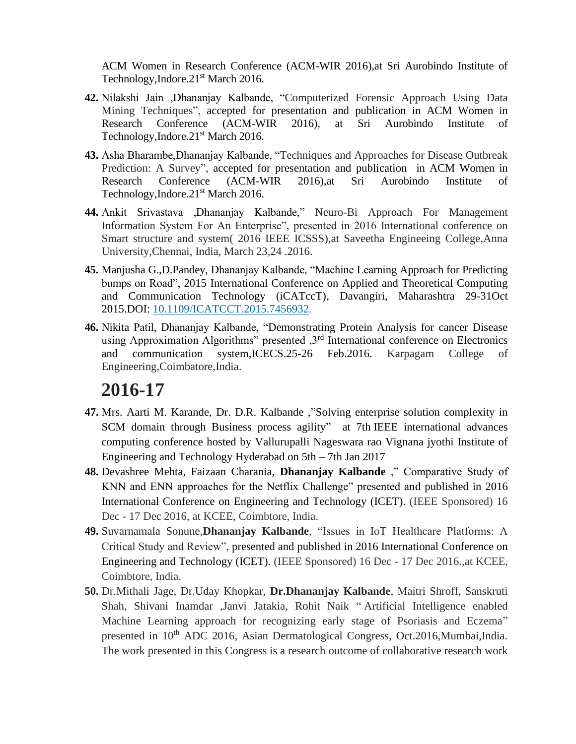ACM Women in Research Conference (ACM-WIR 2016),at Sri Aurobindo Institute of Technology, Indore.21st March 2016.

- **42.** Nilakshi Jain ,Dhananjay Kalbande, "Computerized Forensic Approach Using Data Mining Techniques", accepted for presentation and publication in ACM Women in Research Conference (ACM-WIR 2016), at Sri Aurobindo Institute of Technology, Indore. 21<sup>st</sup> March 2016.
- **43.** Asha Bharambe,Dhananjay Kalbande, "Techniques and Approaches for Disease Outbreak Prediction: A Survey", accepted for presentation and publication in ACM Women in Research Conference (ACM-WIR 2016),at Sri Aurobindo Institute of Technology, Indore. 21<sup>st</sup> March 2016.
- **44.** Ankit Srivastava ,Dhananjay Kalbande," Neuro-Bi Approach For Management Information System For An Enterprise", presented in 2016 International conference on Smart structure and system( 2016 IEEE ICSSS),at Saveetha Engineeing College,Anna University,Chennai, India, March 23,24 .2016.
- **45.** Manjusha G.,D.Pandey, Dhananjay Kalbande, "Machine Learning Approach for Predicting bumps on Road", 2015 International Conference on Applied and Theoretical Computing and Communication Technology (iCATccT), Davangiri, Maharashtra 29-31Oct 2015.DOI: [10.1109/ICATCCT.2015.7456932.](http://dx.doi.org/10.1109/ICATCCT.2015.7456932)
- **46.** Nikita Patil, Dhananjay Kalbande, "Demonstrating Protein Analysis for cancer Disease using Approximation Algorithms" presented  $3<sup>rd</sup>$  International conference on Electronics and communication system,ICECS.25-26 Feb.2016. Karpagam College of Engineering,Coimbatore,India.

- **47.** Mrs. Aarti M. Karande, Dr. D.R. Kalbande ,"Solving enterprise solution complexity in SCM domain through Business process agility" at 7th IEEE international advances computing conference hosted by Vallurupalli Nageswara rao Vignana jyothi Institute of Engineering and Technology Hyderabad on 5th – 7th Jan 2017
- **48.** Devashree Mehta, Faizaan Charania, **Dhananjay Kalbande** ," Comparative Study of KNN and ENN approaches for the Netflix Challenge" presented and published in 2016 International Conference on Engineering and Technology (ICET). (IEEE Sponsored) 16 Dec - 17 Dec 2016, at KCEE, Coimbtore, India.
- **49.** Suvarnamala Sonune,**Dhananjay Kalbande**, "Issues in IoT Healthcare Platforms: A Critical Study and Review", presented and published in 2016 International Conference on Engineering and Technology (ICET). (IEEE Sponsored) 16 Dec - 17 Dec 2016.,at KCEE, Coimbtore, India.
- **50.** Dr.Mithali Jage, Dr.Uday Khopkar, **Dr.Dhananjay Kalbande**, Maitri Shroff, Sanskruti Shah, Shivani Inamdar ,Janvi Jatakia, Rohit Naik " Artificial Intelligence enabled Machine Learning approach for recognizing early stage of Psoriasis and Eczema" presented in 10<sup>th</sup> ADC 2016, Asian Dermatological Congress, Oct.2016, Mumbai, India. The work presented in this Congress is a research outcome of collaborative research work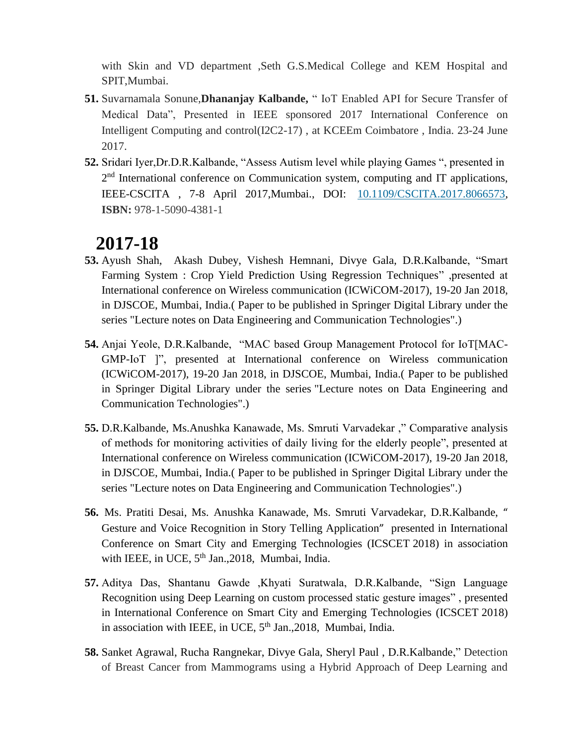with Skin and VD department ,Seth G.S.Medical College and KEM Hospital and SPIT,Mumbai.

- **51.** Suvarnamala Sonune,**Dhananjay Kalbande,** " IoT Enabled API for Secure Transfer of Medical Data", Presented in IEEE sponsored 2017 International Conference on Intelligent Computing and control(I2C2-17) , at KCEEm Coimbatore , India. 23-24 June 2017.
- **52.** Sridari Iyer,Dr.D.R.Kalbande, "Assess Autism level while playing Games ", presented in 2<sup>nd</sup> International conference on Communication system, computing and IT applications, IEEE-CSCITA , 7-8 April 2017,Mumbai., DOI: [10.1109/CSCITA.2017.8066573,](https://doi.org/10.1109/CSCITA.2017.8066573) **ISBN:** 978-1-5090-4381-1

- **53.** Ayush Shah, Akash Dubey, Vishesh Hemnani, Divye Gala, D.R.Kalbande, "Smart Farming System : Crop Yield Prediction Using Regression Techniques" ,presented at International conference on Wireless communication (ICWiCOM-2017), 19-20 Jan 2018, in DJSCOE, Mumbai, India.( Paper to be published in Springer Digital Library under the series "Lecture notes on Data Engineering and Communication Technologies".)
- **54.** Anjai Yeole, D.R.Kalbande, "MAC based Group Management Protocol for IoT[MAC-GMP-IoT ]", presented at International conference on Wireless communication (ICWiCOM-2017), 19-20 Jan 2018, in DJSCOE, Mumbai, India.( Paper to be published in Springer Digital Library under the series "Lecture notes on Data Engineering and Communication Technologies".)
- **55.** D.R.Kalbande, Ms.Anushka Kanawade, Ms. Smruti Varvadekar ," Comparative analysis of methods for monitoring activities of daily living for the elderly people", presented at International conference on Wireless communication (ICWiCOM-2017), 19-20 Jan 2018, in DJSCOE, Mumbai, India.( Paper to be published in Springer Digital Library under the series "Lecture notes on Data Engineering and Communication Technologies".)
- **56.** Ms. Pratiti Desai, Ms. Anushka Kanawade, Ms. Smruti Varvadekar, D.R.Kalbande, " Gesture and Voice Recognition in Story Telling Application" presented in International Conference on Smart City and Emerging Technologies (ICSCET 2018) in association with IEEE, in UCE, 5<sup>th</sup> Jan., 2018, Mumbai, India.
- **57.** Aditya Das, Shantanu Gawde ,Khyati Suratwala, D.R.Kalbande, "Sign Language Recognition using Deep Learning on custom processed static gesture images" , presented in International Conference on Smart City and Emerging Technologies (ICSCET 2018) in association with IEEE, in UCE, 5<sup>th</sup> Jan., 2018, Mumbai, India.
- **58.** Sanket Agrawal, Rucha Rangnekar, Divye Gala, Sheryl Paul , D.R.Kalbande," Detection of Breast Cancer from Mammograms using a Hybrid Approach of Deep Learning and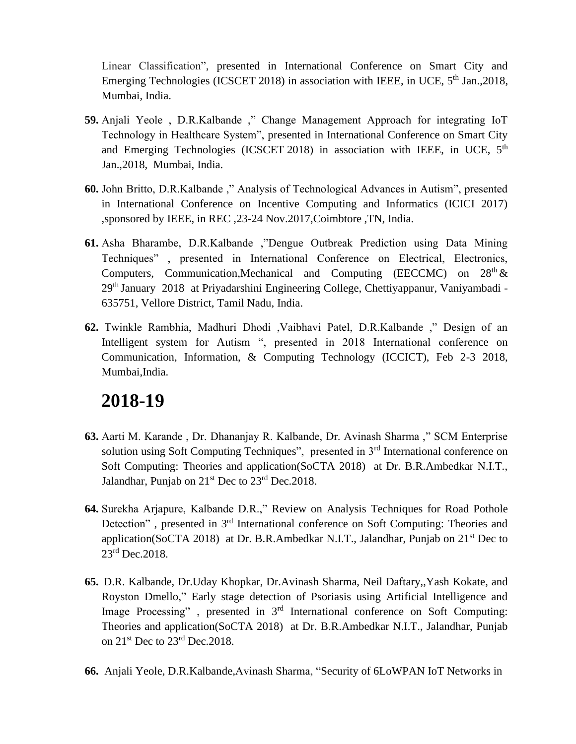Linear Classification", presented in International Conference on Smart City and Emerging Technologies (ICSCET 2018) in association with IEEE, in UCE,  $5<sup>th</sup>$  Jan., 2018, Mumbai, India.

- **59.** Anjali Yeole , D.R.Kalbande ," Change Management Approach for integrating IoT Technology in Healthcare System", presented in International Conference on Smart City and Emerging Technologies (ICSCET 2018) in association with IEEE, in UCE,  $5<sup>th</sup>$ Jan.,2018, Mumbai, India.
- **60.** John Britto, D.R.Kalbande ," Analysis of Technological Advances in Autism", presented in International Conference on Incentive Computing and Informatics (ICICI 2017) ,sponsored by IEEE, in REC ,23-24 Nov.2017,Coimbtore ,TN, India.
- **61.** Asha Bharambe, D.R.Kalbande ,"Dengue Outbreak Prediction using Data Mining Techniques" , presented in International Conference on Electrical, Electronics, Computers, Communication,Mechanical and Computing (EECCMC) on  $28<sup>th</sup> \&$ 29th January 2018 at Priyadarshini Engineering College, Chettiyappanur, Vaniyambadi - 635751, Vellore District, Tamil Nadu, India.
- **62.** Twinkle Rambhia, Madhuri Dhodi ,Vaibhavi Patel, D.R.Kalbande ," Design of an Intelligent system for Autism ", presented in 2018 International conference on Communication, Information, & Computing Technology (ICCICT), Feb 2-3 2018, Mumbai,India.

- **63.** Aarti M. Karande , Dr. Dhananjay R. Kalbande, Dr. Avinash Sharma ," SCM Enterprise solution using Soft Computing Techniques", presented in 3<sup>rd</sup> International conference on Soft Computing: Theories and application(SoCTA 2018) at Dr. B.R.Ambedkar N.I.T., Jalandhar, Punjab on  $21<sup>st</sup>$  Dec to  $23<sup>rd</sup>$  Dec. 2018.
- **64.** Surekha Arjapure, Kalbande D.R.," Review on Analysis Techniques for Road Pothole Detection", presented in 3<sup>rd</sup> International conference on Soft Computing: Theories and application(SoCTA 2018) at Dr. B.R.Ambedkar N.I.T., Jalandhar, Punjab on  $21<sup>st</sup>$  Dec to 23<sup>rd</sup> Dec. 2018.
- **65.** D.R. Kalbande, Dr.Uday Khopkar, Dr.Avinash Sharma, Neil Daftary,,Yash Kokate, and Royston Dmello," Early stage detection of Psoriasis using Artificial Intelligence and Image Processing", presented in 3<sup>rd</sup> International conference on Soft Computing: Theories and application(SoCTA 2018) at Dr. B.R.Ambedkar N.I.T., Jalandhar, Punjab on 21<sup>st</sup> Dec to 23<sup>rd</sup> Dec.2018.
- **66.** Anjali Yeole, D.R.Kalbande,Avinash Sharma, "Security of 6LoWPAN IoT Networks in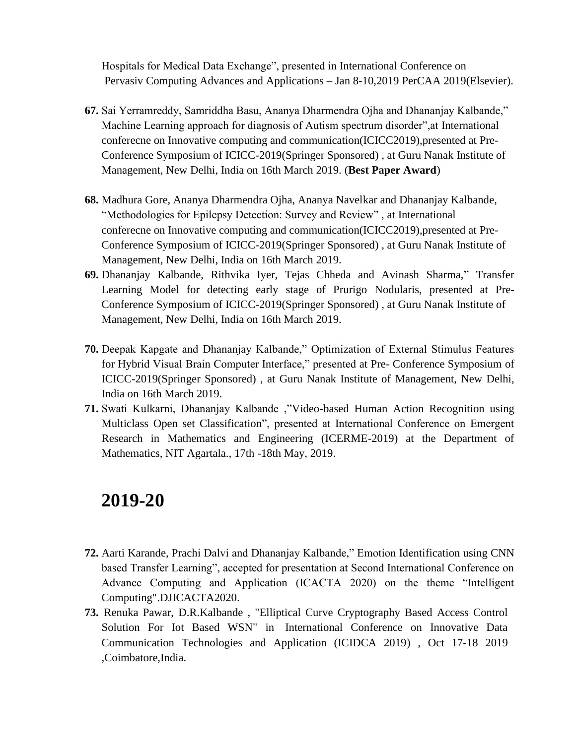Hospitals for Medical Data Exchange", presented in International Conference on Pervasiv Computing Advances and Applications – Jan 8-10,2019 PerCAA 2019(Elsevier).

- **67.** Sai Yerramreddy, Samriddha Basu, Ananya Dharmendra Ojha and Dhananjay Kalbande," Machine Learning approach for diagnosis of Autism spectrum disorder",at International conferecne on Innovative computing and communication(ICICC2019),presented at Pre-Conference Symposium of ICICC-2019(Springer Sponsored) , at Guru Nanak Institute of Management, New Delhi, India on 16th March 2019. (**Best Paper Award**)
- **68.** Madhura Gore, Ananya Dharmendra Ojha, Ananya Navelkar and Dhananjay Kalbande, "Methodologies for Epilepsy Detection: Survey and Review" , at International conferecne on Innovative computing and communication(ICICC2019),presented at Pre-Conference Symposium of ICICC-2019(Springer Sponsored) , at Guru Nanak Institute of Management, New Delhi, India on 16th March 2019.
- **69.** Dhananjay Kalbande, Rithvika Iyer, Tejas Chheda and Avinash Sharma," Transfer Learning Model for detecting early stage of Prurigo Nodularis, presented at Pre-Conference Symposium of ICICC-2019(Springer Sponsored) , at Guru Nanak Institute of Management, New Delhi, India on 16th March 2019.
- **70.** Deepak Kapgate and Dhananjay Kalbande," Optimization of External Stimulus Features for Hybrid Visual Brain Computer Interface," presented at Pre- Conference Symposium of ICICC-2019(Springer Sponsored) , at Guru Nanak Institute of Management, New Delhi, India on 16th March 2019.
- **71.** Swati Kulkarni, Dhananjay Kalbande ,"Video-based Human Action Recognition using Multiclass Open set Classification", presented at International Conference on Emergent Research in Mathematics and Engineering (ICERME-2019) at the Department of Mathematics, NIT Agartala., 17th -18th May, 2019.

- **72.** Aarti Karande, Prachi Dalvi and Dhananjay Kalbande," Emotion Identification using CNN based Transfer Learning", accepted for presentation at Second International Conference on Advance Computing and Application (ICACTA 2020) on the theme "Intelligent Computing".DJICACTA2020.
- **73.** Renuka Pawar, D.R.Kalbande , "Elliptical Curve Cryptography Based Access Control Solution For Iot Based WSN" in International Conference on Innovative Data Communication Technologies and Application (ICIDCA 2019) , Oct 17-18 2019 ,Coimbatore,India.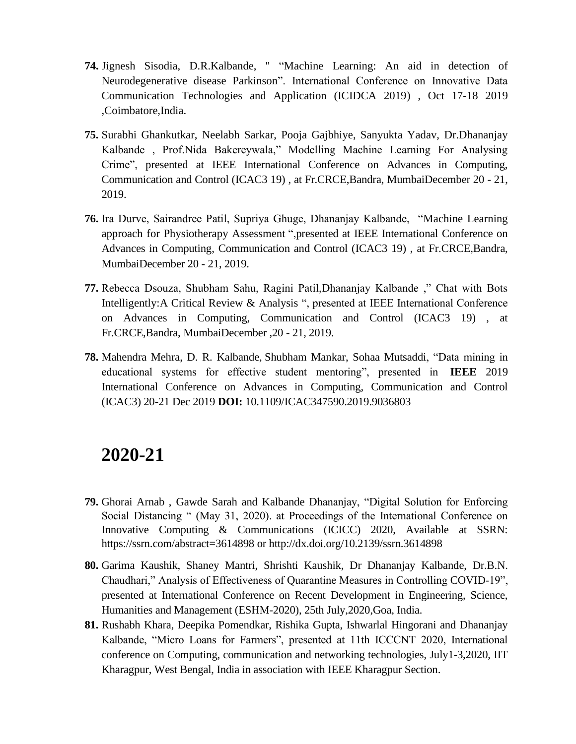- **74.** Jignesh Sisodia, D.R.Kalbande, " "Machine Learning: An aid in detection of Neurodegenerative disease Parkinson". International Conference on Innovative Data Communication Technologies and Application (ICIDCA 2019) , Oct 17-18 2019 ,Coimbatore,India.
- **75.** Surabhi Ghankutkar, Neelabh Sarkar, Pooja Gajbhiye, Sanyukta Yadav, Dr.Dhananjay Kalbande , Prof.Nida Bakereywala," Modelling Machine Learning For Analysing Crime", presented at IEEE International Conference on Advances in Computing, Communication and Control (ICAC3 19) , at Fr.CRCE,Bandra, MumbaiDecember 20 - 21, 2019.
- **76.** Ira Durve, Sairandree Patil, Supriya Ghuge, Dhananjay Kalbande, "Machine Learning approach for Physiotherapy Assessment ",presented at IEEE International Conference on Advances in Computing, Communication and Control (ICAC3 19) , at Fr.CRCE,Bandra, MumbaiDecember 20 - 21, 2019.
- **77.** Rebecca Dsouza, Shubham Sahu, Ragini Patil,Dhananjay Kalbande ," Chat with Bots Intelligently:A Critical Review & Analysis ", presented at IEEE International Conference on Advances in Computing, Communication and Control (ICAC3 19) , at Fr.CRCE,Bandra, MumbaiDecember ,20 - 21, 2019.
- **78.** [Mahendra Mehra,](https://ieeexplore.ieee.org/author/37972142500) [D. R. Kalbande,](https://ieeexplore.ieee.org/author/37546318800) [Shubham Mankar,](https://ieeexplore.ieee.org/author/37088340493) [Sohaa Mutsaddi,](https://ieeexplore.ieee.org/author/37088340131) "Data mining in educational systems for effective student mentoring", presented in **IEEE** [2019](https://ieeexplore.ieee.org/xpl/conhome/9018089/proceeding)  [International Conference on Advances in Computing, Communication and Control](https://ieeexplore.ieee.org/xpl/conhome/9018089/proceeding)  [\(ICAC3\)](https://ieeexplore.ieee.org/xpl/conhome/9018089/proceeding) 20-21 Dec 2019 **DOI:** [10.1109/ICAC347590.2019.9036803](https://doi.org/10.1109/ICAC347590.2019.9036803)

- **79.** Ghorai Arnab , Gawde Sarah and Kalbande Dhananjay, "Digital Solution for Enforcing Social Distancing " (May 31, 2020). at Proceedings of the International Conference on Innovative Computing & Communications (ICICC) 2020, Available at SSRN: <https://ssrn.com/abstract=3614898> or [http://dx.doi.org/10.2139/ssrn.3614898](https://dx.doi.org/10.2139/ssrn.3614898)
- **80.** Garima Kaushik, Shaney Mantri, Shrishti Kaushik, Dr Dhananjay Kalbande, Dr.B.N. Chaudhari," Analysis of Effectiveness of Quarantine Measures in Controlling COVID-19", presented at International Conference on Recent Development in Engineering, Science, Humanities and Management (ESHM-2020), 25th July,2020,Goa, India.
- **81.** Rushabh Khara, Deepika Pomendkar, Rishika Gupta, Ishwarlal Hingorani and Dhananjay Kalbande, "Micro Loans for Farmers", presented at 11th ICCCNT 2020, International conference on Computing, communication and networking technologies, July1-3,2020, IIT Kharagpur, West Bengal, India in association with IEEE Kharagpur Section.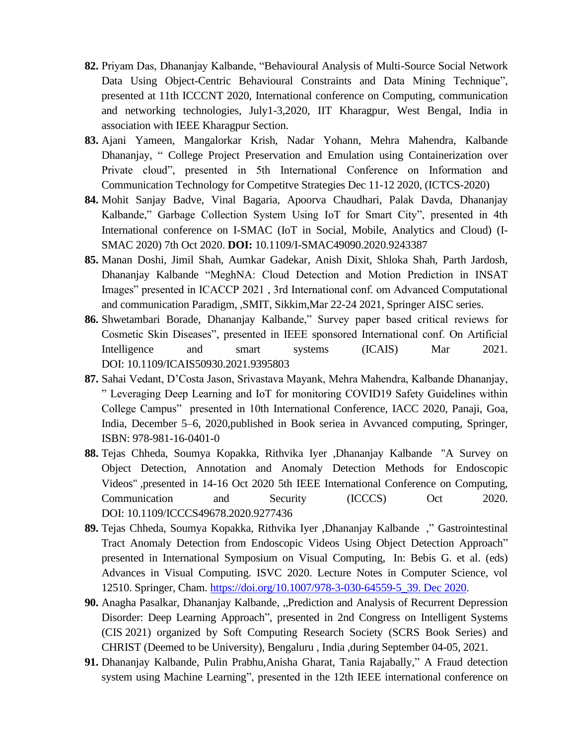- **82.** Priyam Das, Dhananjay Kalbande, "Behavioural Analysis of Multi-Source Social Network Data Using Object-Centric Behavioural Constraints and Data Mining Technique", presented at 11th ICCCNT 2020, International conference on Computing, communication and networking technologies, July1-3,2020, IIT Kharagpur, West Bengal, India in association with IEEE Kharagpur Section.
- **83.** Ajani Yameen, Mangalorkar Krish, Nadar Yohann, Mehra Mahendra, Kalbande Dhananjay, " College Project Preservation and Emulation using Containerization over Private cloud", presented in 5th International Conference on Information and Communication Technology for Competitve Strategies Dec 11-12 2020, (ICTCS-2020)
- **84.** Mohit Sanjay Badve, Vinal Bagaria, Apoorva Chaudhari, Palak Davda, Dhananjay Kalbande," Garbage Collection System Using IoT for Smart City", presented in 4th International conference on I-SMAC (IoT in Social, Mobile, Analytics and Cloud) (I-SMAC 2020) 7th Oct 2020. **DOI:** [10.1109/I-SMAC49090.2020.9243387](https://doi.org/10.1109/I-SMAC49090.2020.9243387)
- **85.** Manan Doshi, Jimil Shah, Aumkar Gadekar, Anish Dixit, Shloka Shah, Parth Jardosh, Dhananjay Kalbande "MeghNA: Cloud Detection and Motion Prediction in INSAT Images" presented in ICACCP 2021 , 3rd International conf. om Advanced Computational and communication Paradigm, ,SMIT, Sikkim,Mar 22-24 2021, Springer AISC series.
- **86.** Shwetambari Borade, Dhananjay Kalbande," Survey paper based critical reviews for Cosmetic Skin Diseases", presented in IEEE sponsored International conf. On Artificial Intelligence and smart systems (ICAIS) Mar 2021. DOI: [10.1109/ICAIS50930.2021.9395803](https://doi.org/10.1109/ICAIS50930.2021.9395803)
- **87.** Sahai Vedant, D'Costa Jason, Srivastava Mayank, Mehra Mahendra, Kalbande Dhananjay, " Leveraging Deep Learning and IoT for monitoring COVID19 Safety Guidelines within College Campus" presented in 10th International Conference, IACC 2020, Panaji, Goa, India, December 5–6, 2020,published in Book seriea in Avvanced computing, Springer, ISBN: 978-981-16-0401-0
- **88.** Tejas Chheda, Soumya Kopakka, Rithvika Iyer ,Dhananjay Kalbande "A Survey on Object Detection, Annotation and Anomaly Detection Methods for Endoscopic Videos" ,presented in 14-16 Oct 2020 5th IEEE International Conference on Computing, Communication and Security (ICCCS) Oct 2020. DOI: [10.1109/ICCCS49678.2020.9277436](https://doi.org/10.1109/ICCCS49678.2020.9277436)
- **89.** Tejas Chheda, Soumya Kopakka, Rithvika Iyer ,Dhananjay Kalbande ," [Gastrointestinal](https://link.springer.com/chapter/10.1007/978-3-030-64559-5_39)  [Tract Anomaly Detection from Endoscopic Videos Using Object Detection Approach"](https://link.springer.com/chapter/10.1007/978-3-030-64559-5_39) presented in International Symposium on Visual Computing, In: Bebis G. et al. (eds) Advances in Visual Computing. ISVC 2020. Lecture Notes in Computer Science, vol 12510. Springer, Cham. [https://doi.org/10.1007/978-3-030-64559-5\\_39. Dec 2020.](https://doi.org/10.1007/978-3-030-64559-5_39.%20Dec%202020)
- **90.** Anagha Pasalkar, Dhananjay Kalbande, "Prediction and Analysis of Recurrent Depression Disorder: Deep Learning Approach", presented in 2nd Congress on Intelligent Systems (CIS 2021) organized by Soft Computing Research Society (SCRS Book Series) and CHRIST (Deemed to be University), Bengaluru , India ,during September 04-05, 2021.
- **91.** Dhananjay Kalbande, Pulin Prabhu,Anisha Gharat, Tania Rajabally," A Fraud detection system using Machine Learning", presented in the 12th IEEE international conference on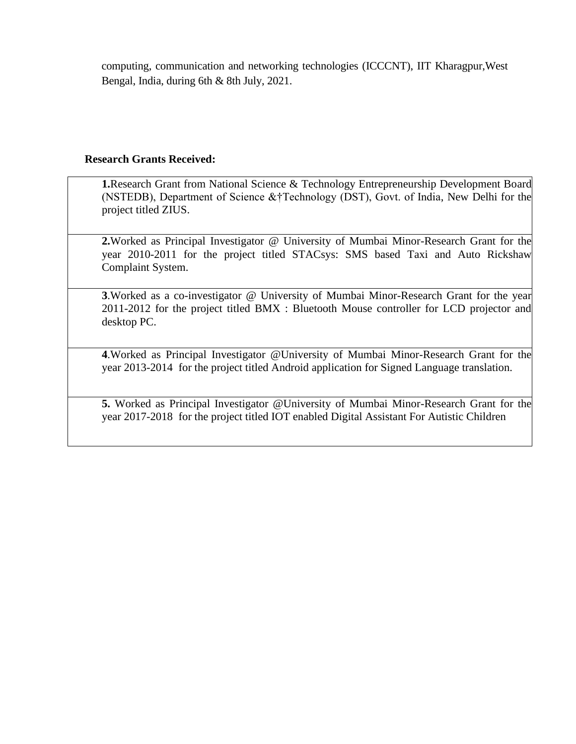computing, communication and networking technologies (ICCCNT), IIT Kharagpur,West Bengal, India, during 6th & 8th July, 2021.

#### **Research Grants Received:**

**1.**Research Grant from National Science & Technology Entrepreneurship Development Board (NSTEDB), Department of Science &†Technology (DST), Govt. of India, New Delhi for the project titled ZIUS.

**2.**Worked as Principal Investigator @ University of Mumbai Minor-Research Grant for the year 2010-2011 for the project titled STACsys: SMS based Taxi and Auto Rickshaw Complaint System.

**3**.Worked as a co-investigator @ University of Mumbai Minor-Research Grant for the year 2011-2012 for the project titled BMX : Bluetooth Mouse controller for LCD projector and desktop PC.

**4**.Worked as Principal Investigator @University of Mumbai Minor-Research Grant for the year 2013-2014 for the project titled Android application for Signed Language translation.

**5.** Worked as Principal Investigator @University of Mumbai Minor-Research Grant for the year 2017-2018 for the project titled IOT enabled Digital Assistant For Autistic Children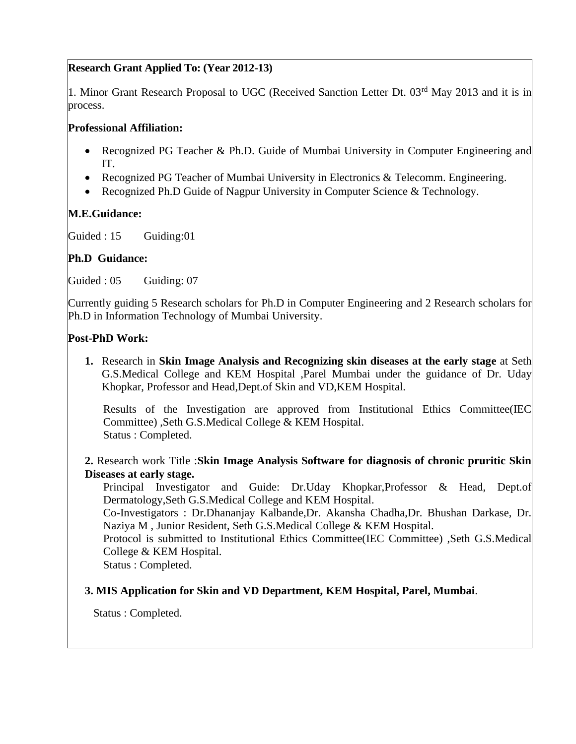## **Research Grant Applied To: (Year 2012-13)**

1. Minor Grant Research Proposal to UGC (Received Sanction Letter Dt. 03<sup>rd</sup> May 2013 and it is in process.

## **Professional Affiliation:**

- Recognized PG Teacher & Ph.D. Guide of Mumbai University in Computer Engineering and IT.
- Recognized PG Teacher of Mumbai University in Electronics & Telecomm. Engineering.
- Recognized Ph.D Guide of Nagpur University in Computer Science & Technology.

## **M.E.Guidance:**

Guided : 15 Guiding:01

## **Ph.D Guidance:**

Guided : 05 Guiding: 07

Currently guiding 5 Research scholars for Ph.D in Computer Engineering and 2 Research scholars for Ph.D in Information Technology of Mumbai University.

## **Post-PhD Work:**

**1.** Research in **Skin Image Analysis and Recognizing skin diseases at the early stage** at Seth G.S.Medical College and KEM Hospital ,Parel Mumbai under the guidance of Dr. Uday Khopkar, Professor and Head,Dept.of Skin and VD,KEM Hospital.

Results of the Investigation are approved from Institutional Ethics Committee(IEC Committee) ,Seth G.S.Medical College & KEM Hospital. Status : Completed.

## **2.** Research work Title :**Skin Image Analysis Software for diagnosis of chronic pruritic Skin Diseases at early stage.**

Principal Investigator and Guide: Dr.Uday Khopkar,Professor & Head, Dept.of Dermatology,Seth G.S.Medical College and KEM Hospital.

Co-Investigators : Dr.Dhananjay Kalbande,Dr. Akansha Chadha,Dr. Bhushan Darkase, Dr. Naziya M , Junior Resident, Seth G.S.Medical College & KEM Hospital.

Protocol is submitted to Institutional Ethics Committee(IEC Committee) ,Seth G.S.Medical College & KEM Hospital.

Status : Completed.

## **3. MIS Application for Skin and VD Department, KEM Hospital, Parel, Mumbai**.

Status : Completed.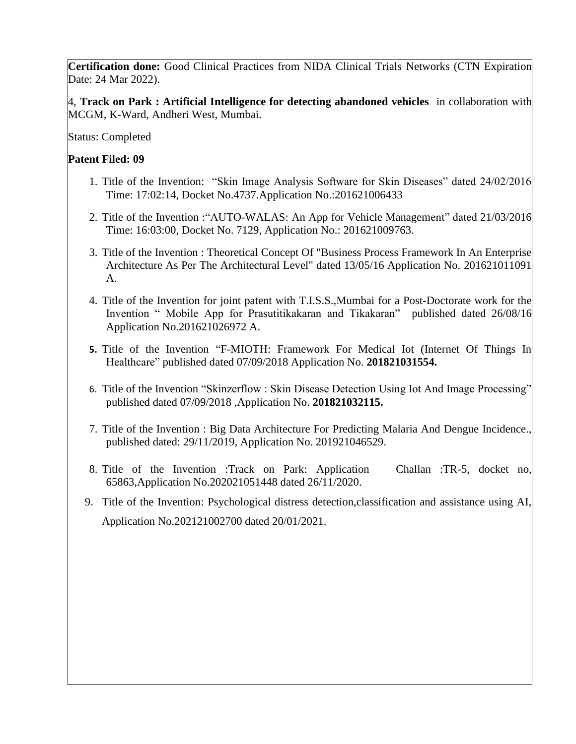**Certification done:** Good Clinical Practices from NIDA Clinical Trials Networks (CTN Expiration Date: 24 Mar 2022).

4, **Track on Park : Artificial Intelligence for detecting abandoned vehicles** in collaboration with MCGM, K-Ward, Andheri West, Mumbai.

Status: Completed

## **Patent Filed: 09**

- 1. Title of the Invention: "Skin Image Analysis Software for Skin Diseases" dated 24/02/2016 Time: 17:02:14, Docket No.4737.Application No.:201621006433
- 2. Title of the Invention :"AUTO-WALAS: An App for Vehicle Management" dated 21/03/2016 Time: 16:03:00, Docket No. 7129, Application No.: 201621009763.
- 3. Title of the Invention : Theoretical Concept Of "Business Process Framework In An Enterprise Architecture As Per The Architectural Level" dated 13/05/16 Application No. 201621011091 A.
- 4. Title of the Invention for joint patent with T.I.S.S.,Mumbai for a Post-Doctorate work for the Invention " Mobile App for Prasutitikakaran and Tikakaran" published dated 26/08/16 Application No.201621026972 A.
- **5.** Title of the Invention "F-MIOTH: Framework For Medical Iot (Internet Of Things In Healthcare" published dated 07/09/2018 Application No. **201821031554.**
- 6. Title of the Invention "Skinzerflow : Skin Disease Detection Using Iot And Image Processing" published dated 07/09/2018 ,Application No. **201821032115.**
- 7. Title of the Invention : Big Data Architecture For Predicting Malaria And Dengue Incidence., published dated: 29/11/2019, Application No. 201921046529.
- 8. Title of the Invention :Track on Park: Application Challan :TR-5, docket no, 65863,Application No.202021051448 dated 26/11/2020.
- 9. Title of the Invention: Psychological distress detection,classification and assistance using AI, Application No.202121002700 dated 20/01/2021.